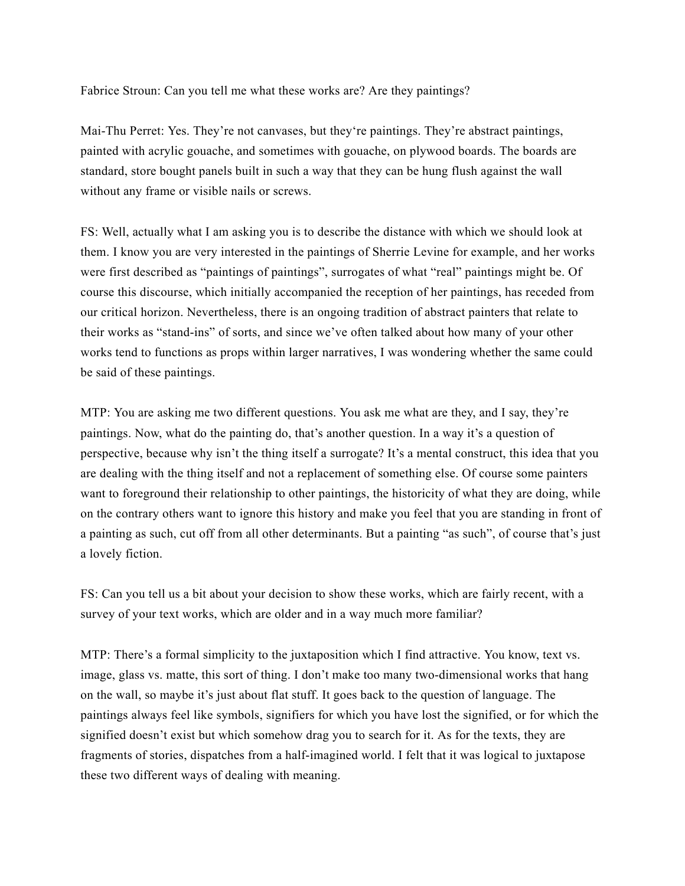Fabrice Stroun: Can you tell me what these works are? Are they paintings?

Mai-Thu Perret: Yes. They're not canvases, but they're paintings. They're abstract paintings, painted with acrylic gouache, and sometimes with gouache, on plywood boards. The boards are standard, store bought panels built in such a way that they can be hung flush against the wall without any frame or visible nails or screws.

FS: Well, actually what I am asking you is to describe the distance with which we should look at them. I know you are very interested in the paintings of Sherrie Levine for example, and her works were first described as "paintings of paintings", surrogates of what "real" paintings might be. Of course this discourse, which initially accompanied the reception of her paintings, has receded from our critical horizon. Nevertheless, there is an ongoing tradition of abstract painters that relate to their works as "stand-ins" of sorts, and since we've often talked about how many of your other works tend to functions as props within larger narratives, I was wondering whether the same could be said of these paintings.

MTP: You are asking me two different questions. You ask me what are they, and I say, they're paintings. Now, what do the painting do, that's another question. In a way it's a question of perspective, because why isn't the thing itself a surrogate? It's a mental construct, this idea that you are dealing with the thing itself and not a replacement of something else. Of course some painters want to foreground their relationship to other paintings, the historicity of what they are doing, while on the contrary others want to ignore this history and make you feel that you are standing in front of a painting as such, cut off from all other determinants. But a painting "as such", of course that's just a lovely fiction.

FS: Can you tell us a bit about your decision to show these works, which are fairly recent, with a survey of your text works, which are older and in a way much more familiar?

MTP: There's a formal simplicity to the juxtaposition which I find attractive. You know, text vs. image, glass vs. matte, this sort of thing. I don't make too many two-dimensional works that hang on the wall, so maybe it's just about flat stuff. It goes back to the question of language. The paintings always feel like symbols, signifiers for which you have lost the signified, or for which the signified doesn't exist but which somehow drag you to search for it. As for the texts, they are fragments of stories, dispatches from a half-imagined world. I felt that it was logical to juxtapose these two different ways of dealing with meaning.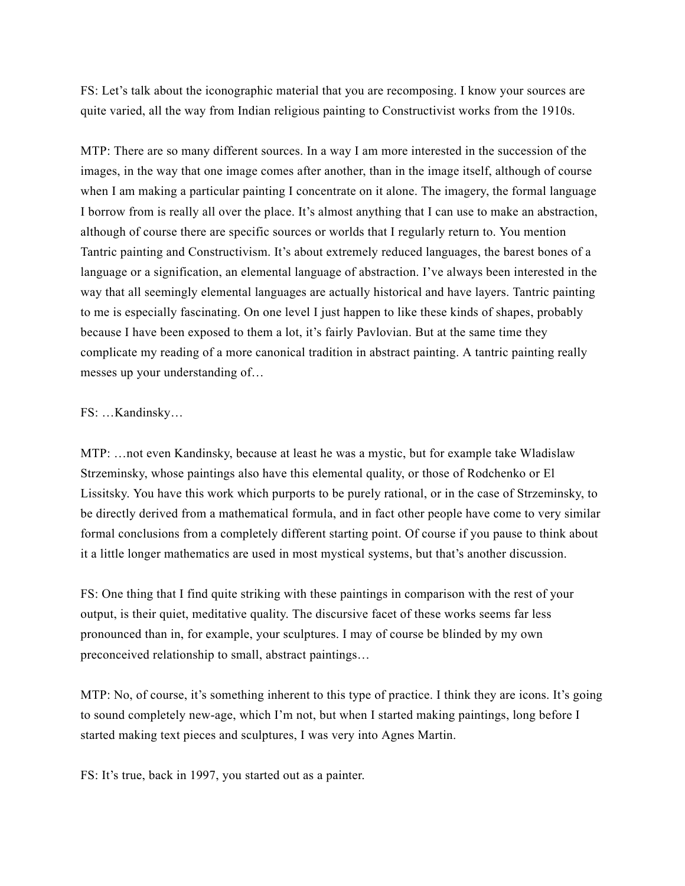FS: Let's talk about the iconographic material that you are recomposing. I know your sources are quite varied, all the way from Indian religious painting to Constructivist works from the 1910s.

MTP: There are so many different sources. In a way I am more interested in the succession of the images, in the way that one image comes after another, than in the image itself, although of course when I am making a particular painting I concentrate on it alone. The imagery, the formal language I borrow from is really all over the place. It's almost anything that I can use to make an abstraction, although of course there are specific sources or worlds that I regularly return to. You mention Tantric painting and Constructivism. It's about extremely reduced languages, the barest bones of a language or a signification, an elemental language of abstraction. I've always been interested in the way that all seemingly elemental languages are actually historical and have layers. Tantric painting to me is especially fascinating. On one level I just happen to like these kinds of shapes, probably because I have been exposed to them a lot, it's fairly Pavlovian. But at the same time they complicate my reading of a more canonical tradition in abstract painting. A tantric painting really messes up your understanding of…

## FS: …Kandinsky…

MTP: …not even Kandinsky, because at least he was a mystic, but for example take Wladislaw Strzeminsky, whose paintings also have this elemental quality, or those of Rodchenko or El Lissitsky. You have this work which purports to be purely rational, or in the case of Strzeminsky, to be directly derived from a mathematical formula, and in fact other people have come to very similar formal conclusions from a completely different starting point. Of course if you pause to think about it a little longer mathematics are used in most mystical systems, but that's another discussion.

FS: One thing that I find quite striking with these paintings in comparison with the rest of your output, is their quiet, meditative quality. The discursive facet of these works seems far less pronounced than in, for example, your sculptures. I may of course be blinded by my own preconceived relationship to small, abstract paintings…

MTP: No, of course, it's something inherent to this type of practice. I think they are icons. It's going to sound completely new-age, which I'm not, but when I started making paintings, long before I started making text pieces and sculptures, I was very into Agnes Martin.

FS: It's true, back in 1997, you started out as a painter.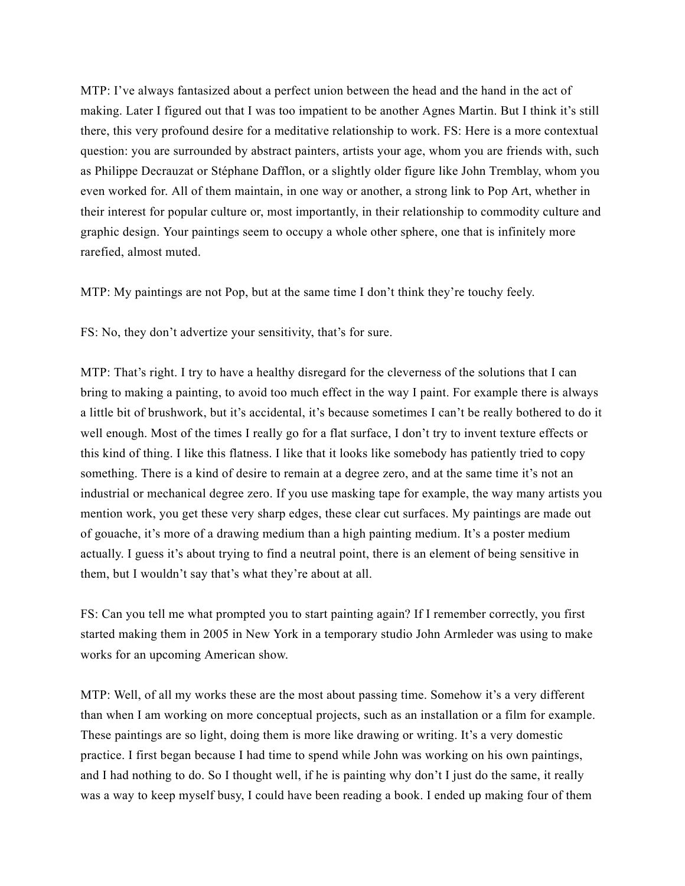MTP: I've always fantasized about a perfect union between the head and the hand in the act of making. Later I figured out that I was too impatient to be another Agnes Martin. But I think it's still there, this very profound desire for a meditative relationship to work. FS: Here is a more contextual question: you are surrounded by abstract painters, artists your age, whom you are friends with, such as Philippe Decrauzat or Stéphane Dafflon, or a slightly older figure like John Tremblay, whom you even worked for. All of them maintain, in one way or another, a strong link to Pop Art, whether in their interest for popular culture or, most importantly, in their relationship to commodity culture and graphic design. Your paintings seem to occupy a whole other sphere, one that is infinitely more rarefied, almost muted.

MTP: My paintings are not Pop, but at the same time I don't think they're touchy feely.

FS: No, they don't advertize your sensitivity, that's for sure.

MTP: That's right. I try to have a healthy disregard for the cleverness of the solutions that I can bring to making a painting, to avoid too much effect in the way I paint. For example there is always a little bit of brushwork, but it's accidental, it's because sometimes I can't be really bothered to do it well enough. Most of the times I really go for a flat surface, I don't try to invent texture effects or this kind of thing. I like this flatness. I like that it looks like somebody has patiently tried to copy something. There is a kind of desire to remain at a degree zero, and at the same time it's not an industrial or mechanical degree zero. If you use masking tape for example, the way many artists you mention work, you get these very sharp edges, these clear cut surfaces. My paintings are made out of gouache, it's more of a drawing medium than a high painting medium. It's a poster medium actually. I guess it's about trying to find a neutral point, there is an element of being sensitive in them, but I wouldn't say that's what they're about at all.

FS: Can you tell me what prompted you to start painting again? If I remember correctly, you first started making them in 2005 in New York in a temporary studio John Armleder was using to make works for an upcoming American show.

MTP: Well, of all my works these are the most about passing time. Somehow it's a very different than when I am working on more conceptual projects, such as an installation or a film for example. These paintings are so light, doing them is more like drawing or writing. It's a very domestic practice. I first began because I had time to spend while John was working on his own paintings, and I had nothing to do. So I thought well, if he is painting why don't I just do the same, it really was a way to keep myself busy, I could have been reading a book. I ended up making four of them